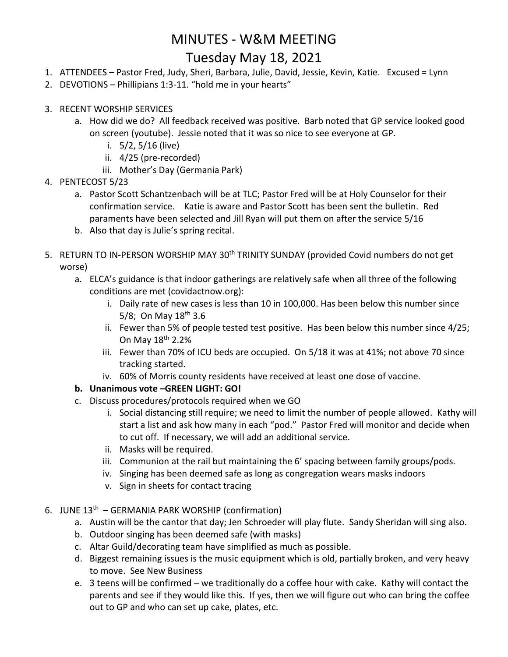## MINUTES - W&M MEETING Tuesday May 18, 2021

- 1. ATTENDEES Pastor Fred, Judy, Sheri, Barbara, Julie, David, Jessie, Kevin, Katie. Excused = Lynn
- 2. DEVOTIONS Phillipians 1:3-11. "hold me in your hearts"
- 3. RECENT WORSHIP SERVICES
	- a. How did we do? All feedback received was positive. Barb noted that GP service looked good on screen (youtube). Jessie noted that it was so nice to see everyone at GP.
		- i. 5/2, 5/16 (live)
		- ii. 4/25 (pre-recorded)
		- iii. Mother's Day (Germania Park)
- 4. PENTECOST 5/23
	- a. Pastor Scott Schantzenbach will be at TLC; Pastor Fred will be at Holy Counselor for their confirmation service. Katie is aware and Pastor Scott has been sent the bulletin. Red paraments have been selected and Jill Ryan will put them on after the service 5/16
	- b. Also that day is Julie's spring recital.
- 5. RETURN TO IN-PERSON WORSHIP MAY 30<sup>th</sup> TRINITY SUNDAY (provided Covid numbers do not get worse)
	- a. ELCA's guidance is that indoor gatherings are relatively safe when all three of the following conditions are met (covidactnow.org):
		- i. Daily rate of new cases is less than 10 in 100,000. Has been below this number since 5/8; On May 18<sup>th</sup> 3.6
		- ii. Fewer than 5% of people tested test positive. Has been below this number since 4/25; On May 18th 2.2%
		- iii. Fewer than 70% of ICU beds are occupied. On 5/18 it was at 41%; not above 70 since tracking started.
		- iv. 60% of Morris county residents have received at least one dose of vaccine.

## **b. Unanimous vote –GREEN LIGHT: GO!**

- c. Discuss procedures/protocols required when we GO
	- i. Social distancing still require; we need to limit the number of people allowed. Kathy will start a list and ask how many in each "pod." Pastor Fred will monitor and decide when to cut off. If necessary, we will add an additional service.
	- ii. Masks will be required.
	- iii. Communion at the rail but maintaining the 6' spacing between family groups/pods.
	- iv. Singing has been deemed safe as long as congregation wears masks indoors
	- v. Sign in sheets for contact tracing
- 6. JUNE 13<sup>th</sup> GERMANIA PARK WORSHIP (confirmation)
	- a. Austin will be the cantor that day; Jen Schroeder will play flute. Sandy Sheridan will sing also.
	- b. Outdoor singing has been deemed safe (with masks)
	- c. Altar Guild/decorating team have simplified as much as possible.
	- d. Biggest remaining issues is the music equipment which is old, partially broken, and very heavy to move. See New Business
	- e. 3 teens will be confirmed we traditionally do a coffee hour with cake. Kathy will contact the parents and see if they would like this. If yes, then we will figure out who can bring the coffee out to GP and who can set up cake, plates, etc.